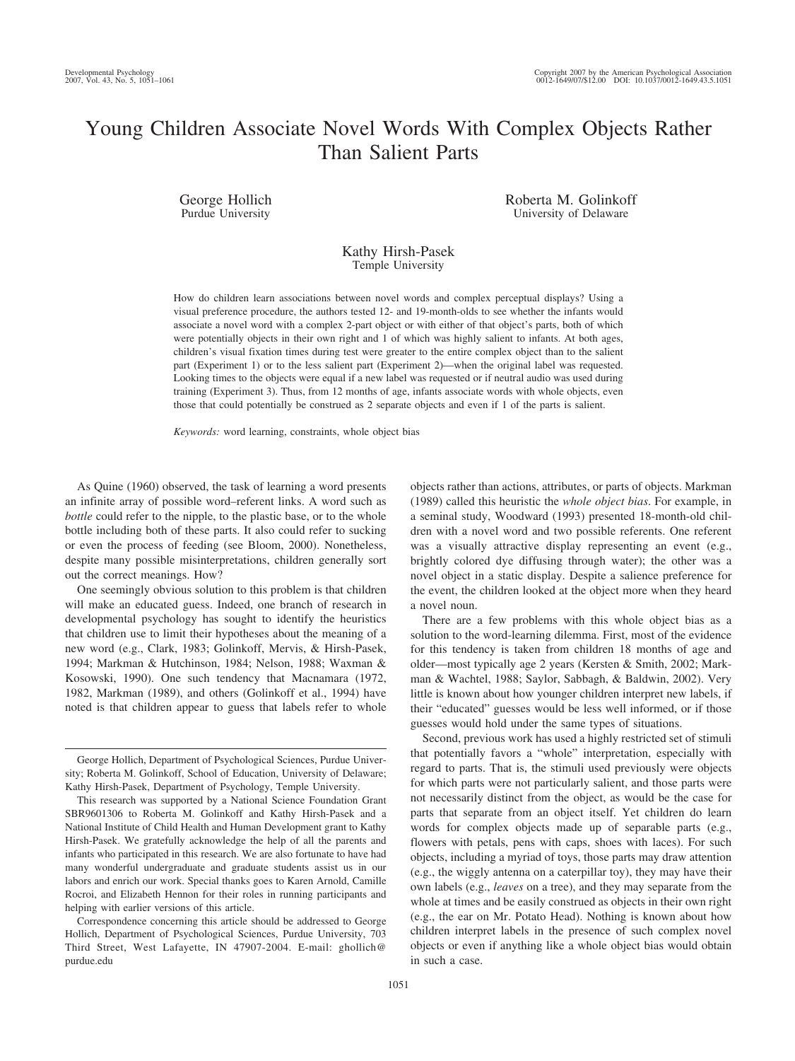# Young Children Associate Novel Words With Complex Objects Rather Than Salient Parts

George Hollich Purdue University

Roberta M. Golinkoff University of Delaware

# Kathy Hirsh-Pasek Temple University

How do children learn associations between novel words and complex perceptual displays? Using a visual preference procedure, the authors tested 12- and 19-month-olds to see whether the infants would associate a novel word with a complex 2-part object or with either of that object's parts, both of which were potentially objects in their own right and 1 of which was highly salient to infants. At both ages, children's visual fixation times during test were greater to the entire complex object than to the salient part (Experiment 1) or to the less salient part (Experiment 2)—when the original label was requested. Looking times to the objects were equal if a new label was requested or if neutral audio was used during training (Experiment 3). Thus, from 12 months of age, infants associate words with whole objects, even those that could potentially be construed as 2 separate objects and even if 1 of the parts is salient.

*Keywords:* word learning, constraints, whole object bias

As Quine (1960) observed, the task of learning a word presents an infinite array of possible word–referent links. A word such as *bottle* could refer to the nipple, to the plastic base, or to the whole bottle including both of these parts. It also could refer to sucking or even the process of feeding (see Bloom, 2000). Nonetheless, despite many possible misinterpretations, children generally sort out the correct meanings. How?

One seemingly obvious solution to this problem is that children will make an educated guess. Indeed, one branch of research in developmental psychology has sought to identify the heuristics that children use to limit their hypotheses about the meaning of a new word (e.g., Clark, 1983; Golinkoff, Mervis, & Hirsh-Pasek, 1994; Markman & Hutchinson, 1984; Nelson, 1988; Waxman & Kosowski, 1990). One such tendency that Macnamara (1972, 1982, Markman (1989), and others (Golinkoff et al., 1994) have noted is that children appear to guess that labels refer to whole

Correspondence concerning this article should be addressed to George Hollich, Department of Psychological Sciences, Purdue University, 703 Third Street, West Lafayette, IN 47907-2004. E-mail: ghollich@ purdue.edu

objects rather than actions, attributes, or parts of objects. Markman (1989) called this heuristic the *whole object bias*. For example, in a seminal study, Woodward (1993) presented 18-month-old children with a novel word and two possible referents. One referent was a visually attractive display representing an event (e.g., brightly colored dye diffusing through water); the other was a novel object in a static display. Despite a salience preference for the event, the children looked at the object more when they heard a novel noun.

There are a few problems with this whole object bias as a solution to the word-learning dilemma. First, most of the evidence for this tendency is taken from children 18 months of age and older—most typically age 2 years (Kersten & Smith, 2002; Markman & Wachtel, 1988; Saylor, Sabbagh, & Baldwin, 2002). Very little is known about how younger children interpret new labels, if their "educated" guesses would be less well informed, or if those guesses would hold under the same types of situations.

Second, previous work has used a highly restricted set of stimuli that potentially favors a "whole" interpretation, especially with regard to parts. That is, the stimuli used previously were objects for which parts were not particularly salient, and those parts were not necessarily distinct from the object, as would be the case for parts that separate from an object itself. Yet children do learn words for complex objects made up of separable parts (e.g., flowers with petals, pens with caps, shoes with laces). For such objects, including a myriad of toys, those parts may draw attention (e.g., the wiggly antenna on a caterpillar toy), they may have their own labels (e.g., *leaves* on a tree), and they may separate from the whole at times and be easily construed as objects in their own right (e.g., the ear on Mr. Potato Head). Nothing is known about how children interpret labels in the presence of such complex novel objects or even if anything like a whole object bias would obtain in such a case.

George Hollich, Department of Psychological Sciences, Purdue University; Roberta M. Golinkoff, School of Education, University of Delaware; Kathy Hirsh-Pasek, Department of Psychology, Temple University.

This research was supported by a National Science Foundation Grant SBR9601306 to Roberta M. Golinkoff and Kathy Hirsh-Pasek and a National Institute of Child Health and Human Development grant to Kathy Hirsh-Pasek. We gratefully acknowledge the help of all the parents and infants who participated in this research. We are also fortunate to have had many wonderful undergraduate and graduate students assist us in our labors and enrich our work. Special thanks goes to Karen Arnold, Camille Rocroi, and Elizabeth Hennon for their roles in running participants and helping with earlier versions of this article.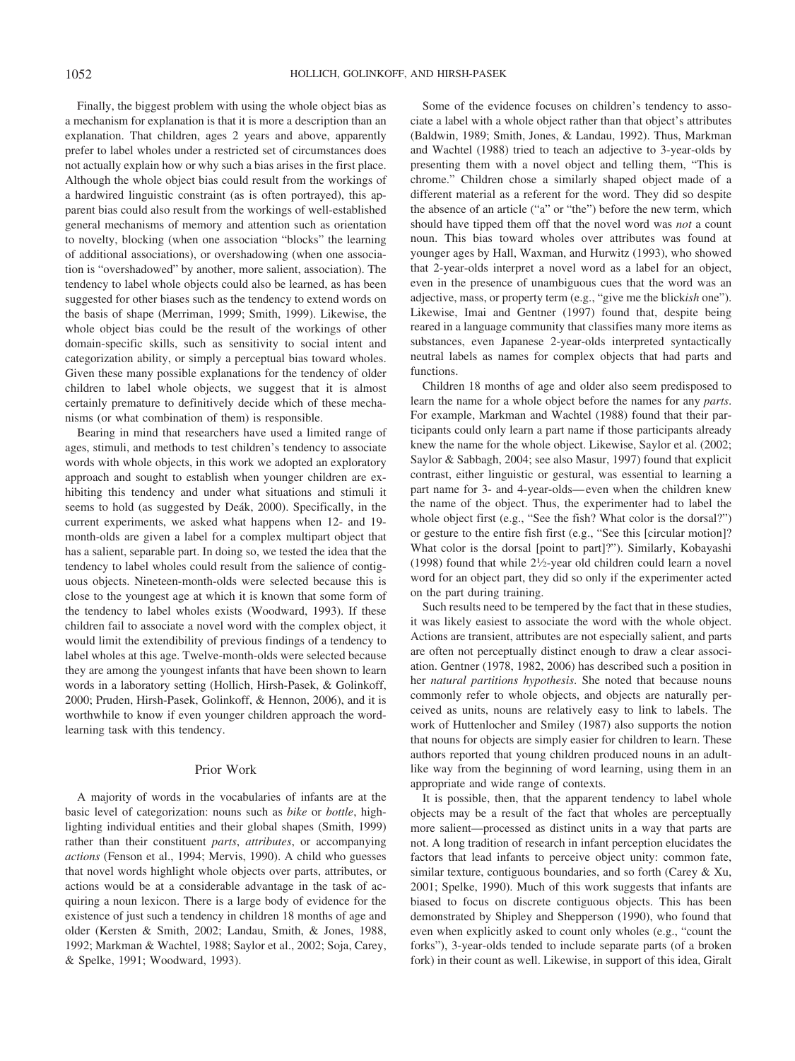Finally, the biggest problem with using the whole object bias as a mechanism for explanation is that it is more a description than an explanation. That children, ages 2 years and above, apparently prefer to label wholes under a restricted set of circumstances does not actually explain how or why such a bias arises in the first place. Although the whole object bias could result from the workings of a hardwired linguistic constraint (as is often portrayed), this apparent bias could also result from the workings of well-established general mechanisms of memory and attention such as orientation to novelty, blocking (when one association "blocks" the learning of additional associations), or overshadowing (when one association is "overshadowed" by another, more salient, association). The tendency to label whole objects could also be learned, as has been suggested for other biases such as the tendency to extend words on the basis of shape (Merriman, 1999; Smith, 1999). Likewise, the whole object bias could be the result of the workings of other domain-specific skills, such as sensitivity to social intent and categorization ability, or simply a perceptual bias toward wholes. Given these many possible explanations for the tendency of older children to label whole objects, we suggest that it is almost certainly premature to definitively decide which of these mechanisms (or what combination of them) is responsible.

Bearing in mind that researchers have used a limited range of ages, stimuli, and methods to test children's tendency to associate words with whole objects, in this work we adopted an exploratory approach and sought to establish when younger children are exhibiting this tendency and under what situations and stimuli it seems to hold (as suggested by Deák, 2000). Specifically, in the current experiments, we asked what happens when 12- and 19 month-olds are given a label for a complex multipart object that has a salient, separable part. In doing so, we tested the idea that the tendency to label wholes could result from the salience of contiguous objects. Nineteen-month-olds were selected because this is close to the youngest age at which it is known that some form of the tendency to label wholes exists (Woodward, 1993). If these children fail to associate a novel word with the complex object, it would limit the extendibility of previous findings of a tendency to label wholes at this age. Twelve-month-olds were selected because they are among the youngest infants that have been shown to learn words in a laboratory setting (Hollich, Hirsh-Pasek, & Golinkoff, 2000; Pruden, Hirsh-Pasek, Golinkoff, & Hennon, 2006), and it is worthwhile to know if even younger children approach the wordlearning task with this tendency.

## Prior Work

A majority of words in the vocabularies of infants are at the basic level of categorization: nouns such as *bike* or *bottle*, highlighting individual entities and their global shapes (Smith, 1999) rather than their constituent *parts*, *attributes*, or accompanying *actions* (Fenson et al., 1994; Mervis, 1990). A child who guesses that novel words highlight whole objects over parts, attributes, or actions would be at a considerable advantage in the task of acquiring a noun lexicon. There is a large body of evidence for the existence of just such a tendency in children 18 months of age and older (Kersten & Smith, 2002; Landau, Smith, & Jones, 1988, 1992; Markman & Wachtel, 1988; Saylor et al., 2002; Soja, Carey, & Spelke, 1991; Woodward, 1993).

Some of the evidence focuses on children's tendency to associate a label with a whole object rather than that object's attributes (Baldwin, 1989; Smith, Jones, & Landau, 1992). Thus, Markman and Wachtel (1988) tried to teach an adjective to 3-year-olds by presenting them with a novel object and telling them, "This is chrome." Children chose a similarly shaped object made of a different material as a referent for the word. They did so despite the absence of an article ("a" or "the") before the new term, which should have tipped them off that the novel word was *not* a count noun. This bias toward wholes over attributes was found at younger ages by Hall, Waxman, and Hurwitz (1993), who showed that 2-year-olds interpret a novel word as a label for an object, even in the presence of unambiguous cues that the word was an adjective, mass, or property term (e.g., "give me the blick*ish* one"). Likewise, Imai and Gentner (1997) found that, despite being reared in a language community that classifies many more items as substances, even Japanese 2-year-olds interpreted syntactically neutral labels as names for complex objects that had parts and functions.

Children 18 months of age and older also seem predisposed to learn the name for a whole object before the names for any *parts*. For example, Markman and Wachtel (1988) found that their participants could only learn a part name if those participants already knew the name for the whole object. Likewise, Saylor et al. (2002; Saylor & Sabbagh, 2004; see also Masur, 1997) found that explicit contrast, either linguistic or gestural, was essential to learning a part name for 3- and 4-year-olds—even when the children knew the name of the object. Thus, the experimenter had to label the whole object first (e.g., "See the fish? What color is the dorsal?") or gesture to the entire fish first (e.g., "See this [circular motion]? What color is the dorsal [point to part]?"). Similarly, Kobayashi (1998) found that while 21⁄2-year old children could learn a novel word for an object part, they did so only if the experimenter acted on the part during training.

Such results need to be tempered by the fact that in these studies, it was likely easiest to associate the word with the whole object. Actions are transient, attributes are not especially salient, and parts are often not perceptually distinct enough to draw a clear association. Gentner (1978, 1982, 2006) has described such a position in her *natural partitions hypothesis*. She noted that because nouns commonly refer to whole objects, and objects are naturally perceived as units, nouns are relatively easy to link to labels. The work of Huttenlocher and Smiley (1987) also supports the notion that nouns for objects are simply easier for children to learn. These authors reported that young children produced nouns in an adultlike way from the beginning of word learning, using them in an appropriate and wide range of contexts.

It is possible, then, that the apparent tendency to label whole objects may be a result of the fact that wholes are perceptually more salient—processed as distinct units in a way that parts are not. A long tradition of research in infant perception elucidates the factors that lead infants to perceive object unity: common fate, similar texture, contiguous boundaries, and so forth (Carey & Xu, 2001; Spelke, 1990). Much of this work suggests that infants are biased to focus on discrete contiguous objects. This has been demonstrated by Shipley and Shepperson (1990), who found that even when explicitly asked to count only wholes (e.g., "count the forks"), 3-year-olds tended to include separate parts (of a broken fork) in their count as well. Likewise, in support of this idea, Giralt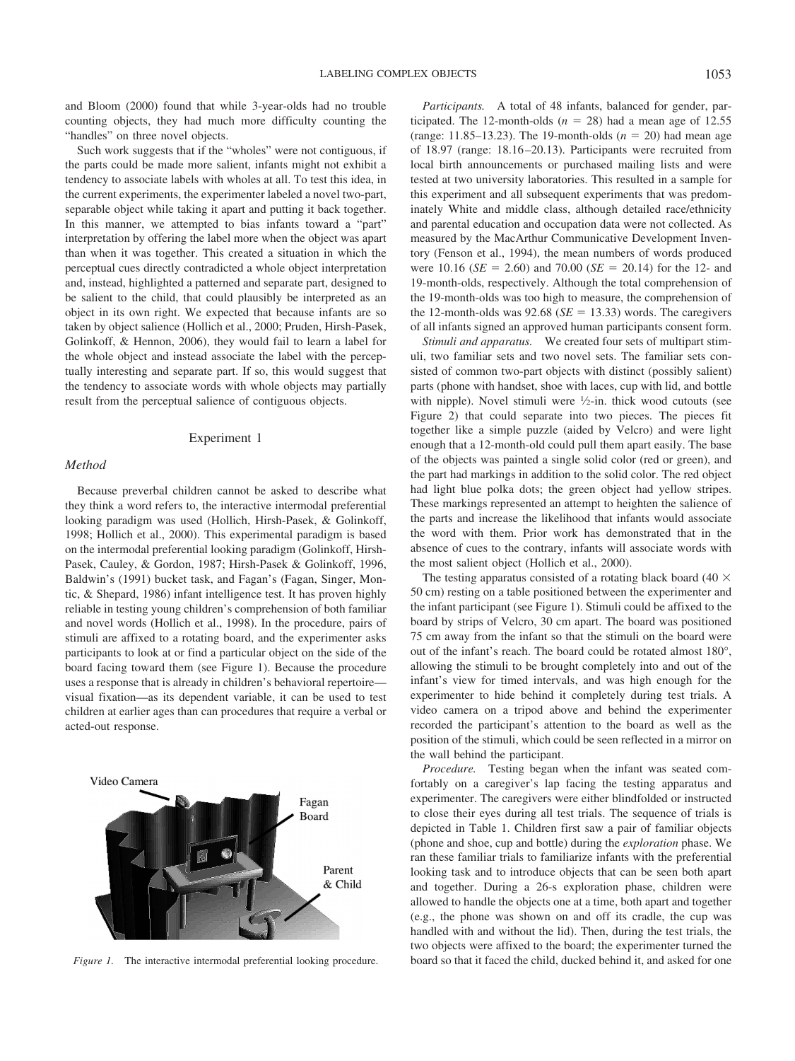and Bloom (2000) found that while 3-year-olds had no trouble counting objects, they had much more difficulty counting the "handles" on three novel objects.

Such work suggests that if the "wholes" were not contiguous, if the parts could be made more salient, infants might not exhibit a tendency to associate labels with wholes at all. To test this idea, in the current experiments, the experimenter labeled a novel two-part, separable object while taking it apart and putting it back together. In this manner, we attempted to bias infants toward a "part" interpretation by offering the label more when the object was apart than when it was together. This created a situation in which the perceptual cues directly contradicted a whole object interpretation and, instead, highlighted a patterned and separate part, designed to be salient to the child, that could plausibly be interpreted as an object in its own right. We expected that because infants are so taken by object salience (Hollich et al., 2000; Pruden, Hirsh-Pasek, Golinkoff, & Hennon, 2006), they would fail to learn a label for the whole object and instead associate the label with the perceptually interesting and separate part. If so, this would suggest that the tendency to associate words with whole objects may partially result from the perceptual salience of contiguous objects.

#### Experiment 1

# *Method*

Because preverbal children cannot be asked to describe what they think a word refers to, the interactive intermodal preferential looking paradigm was used (Hollich, Hirsh-Pasek, & Golinkoff, 1998; Hollich et al., 2000). This experimental paradigm is based on the intermodal preferential looking paradigm (Golinkoff, Hirsh-Pasek, Cauley, & Gordon, 1987; Hirsh-Pasek & Golinkoff, 1996, Baldwin's (1991) bucket task, and Fagan's (Fagan, Singer, Montic, & Shepard, 1986) infant intelligence test. It has proven highly reliable in testing young children's comprehension of both familiar and novel words (Hollich et al., 1998). In the procedure, pairs of stimuli are affixed to a rotating board, and the experimenter asks participants to look at or find a particular object on the side of the board facing toward them (see Figure 1). Because the procedure uses a response that is already in children's behavioral repertoire visual fixation—as its dependent variable, it can be used to test children at earlier ages than can procedures that require a verbal or acted-out response.



*Participants.* A total of 48 infants, balanced for gender, participated. The 12-month-olds  $(n = 28)$  had a mean age of 12.55 (range: 11.85–13.23). The 19-month-olds  $(n = 20)$  had mean age of 18.97 (range: 18.16–20.13). Participants were recruited from local birth announcements or purchased mailing lists and were tested at two university laboratories. This resulted in a sample for this experiment and all subsequent experiments that was predominately White and middle class, although detailed race/ethnicity and parental education and occupation data were not collected. As measured by the MacArthur Communicative Development Inventory (Fenson et al., 1994), the mean numbers of words produced were 10.16 ( $SE = 2.60$ ) and 70.00 ( $SE = 20.14$ ) for the 12- and 19-month-olds, respectively. Although the total comprehension of the 19-month-olds was too high to measure, the comprehension of the 12-month-olds was  $92.68$  (*SE* = 13.33) words. The caregivers of all infants signed an approved human participants consent form.

*Stimuli and apparatus.* We created four sets of multipart stimuli, two familiar sets and two novel sets. The familiar sets consisted of common two-part objects with distinct (possibly salient) parts (phone with handset, shoe with laces, cup with lid, and bottle with nipple). Novel stimuli were 1/2-in. thick wood cutouts (see Figure 2) that could separate into two pieces. The pieces fit together like a simple puzzle (aided by Velcro) and were light enough that a 12-month-old could pull them apart easily. The base of the objects was painted a single solid color (red or green), and the part had markings in addition to the solid color. The red object had light blue polka dots; the green object had yellow stripes. These markings represented an attempt to heighten the salience of the parts and increase the likelihood that infants would associate the word with them. Prior work has demonstrated that in the absence of cues to the contrary, infants will associate words with the most salient object (Hollich et al., 2000).

The testing apparatus consisted of a rotating black board (40  $\times$ 50 cm) resting on a table positioned between the experimenter and the infant participant (see Figure 1). Stimuli could be affixed to the board by strips of Velcro, 30 cm apart. The board was positioned 75 cm away from the infant so that the stimuli on the board were out of the infant's reach. The board could be rotated almost 180°, allowing the stimuli to be brought completely into and out of the infant's view for timed intervals, and was high enough for the experimenter to hide behind it completely during test trials. A video camera on a tripod above and behind the experimenter recorded the participant's attention to the board as well as the position of the stimuli, which could be seen reflected in a mirror on the wall behind the participant.

*Procedure.* Testing began when the infant was seated comfortably on a caregiver's lap facing the testing apparatus and experimenter. The caregivers were either blindfolded or instructed to close their eyes during all test trials. The sequence of trials is depicted in Table 1. Children first saw a pair of familiar objects (phone and shoe, cup and bottle) during the *exploration* phase. We ran these familiar trials to familiarize infants with the preferential looking task and to introduce objects that can be seen both apart and together. During a 26-s exploration phase, children were allowed to handle the objects one at a time, both apart and together (e.g., the phone was shown on and off its cradle, the cup was handled with and without the lid). Then, during the test trials, the two objects were affixed to the board; the experimenter turned the *Figure 1.* The interactive intermodal preferential looking procedure. board so that it faced the child, ducked behind it, and asked for one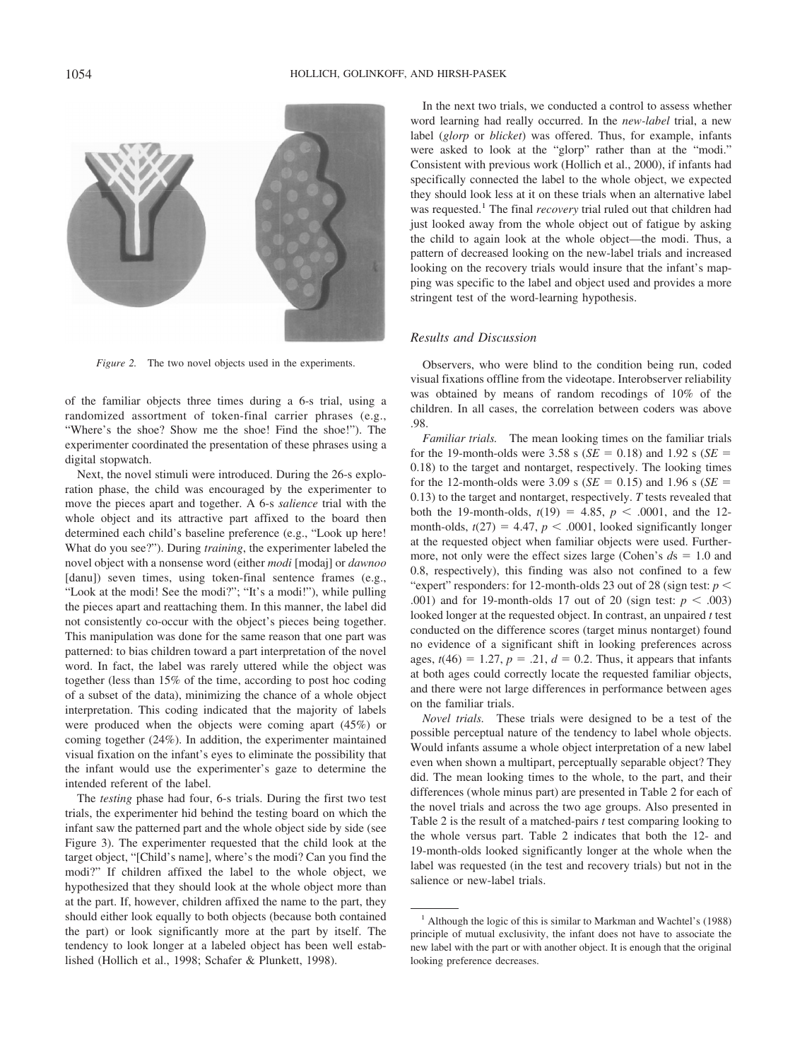

*Figure 2.* The two novel objects used in the experiments.

of the familiar objects three times during a 6-s trial, using a randomized assortment of token-final carrier phrases (e.g., "Where's the shoe? Show me the shoe! Find the shoe!"). The experimenter coordinated the presentation of these phrases using a digital stopwatch.

Next, the novel stimuli were introduced. During the 26-s exploration phase, the child was encouraged by the experimenter to move the pieces apart and together. A 6-s *salience* trial with the whole object and its attractive part affixed to the board then determined each child's baseline preference (e.g., "Look up here! What do you see?"). During *training*, the experimenter labeled the novel object with a nonsense word (either *modi* [modaj] or *dawnoo* [danu]) seven times, using token-final sentence frames (e.g., "Look at the modi! See the modi?"; "It's a modi!"), while pulling the pieces apart and reattaching them. In this manner, the label did not consistently co-occur with the object's pieces being together. This manipulation was done for the same reason that one part was patterned: to bias children toward a part interpretation of the novel word. In fact, the label was rarely uttered while the object was together (less than 15% of the time, according to post hoc coding of a subset of the data), minimizing the chance of a whole object interpretation. This coding indicated that the majority of labels were produced when the objects were coming apart (45%) or coming together (24%). In addition, the experimenter maintained visual fixation on the infant's eyes to eliminate the possibility that the infant would use the experimenter's gaze to determine the intended referent of the label.

The *testing* phase had four, 6-s trials. During the first two test trials, the experimenter hid behind the testing board on which the infant saw the patterned part and the whole object side by side (see Figure 3). The experimenter requested that the child look at the target object, "[Child's name], where's the modi? Can you find the modi?" If children affixed the label to the whole object, we hypothesized that they should look at the whole object more than at the part. If, however, children affixed the name to the part, they should either look equally to both objects (because both contained the part) or look significantly more at the part by itself. The tendency to look longer at a labeled object has been well established (Hollich et al., 1998; Schafer & Plunkett, 1998).

In the next two trials, we conducted a control to assess whether word learning had really occurred. In the *new-label* trial, a new label (*glorp* or *blicket*) was offered. Thus, for example, infants were asked to look at the "glorp" rather than at the "modi." Consistent with previous work (Hollich et al., 2000), if infants had specifically connected the label to the whole object, we expected they should look less at it on these trials when an alternative label was requested.<sup>1</sup> The final *recovery* trial ruled out that children had just looked away from the whole object out of fatigue by asking the child to again look at the whole object—the modi. Thus, a pattern of decreased looking on the new-label trials and increased looking on the recovery trials would insure that the infant's mapping was specific to the label and object used and provides a more stringent test of the word-learning hypothesis.

# *Results and Discussion*

Observers, who were blind to the condition being run, coded visual fixations offline from the videotape. Interobserver reliability was obtained by means of random recodings of 10% of the children. In all cases, the correlation between coders was above .98.

*Familiar trials.* The mean looking times on the familiar trials for the 19-month-olds were 3.58 s ( $SE = 0.18$ ) and 1.92 s ( $SE = 0.18$ ) 0.18) to the target and nontarget, respectively. The looking times for the 12-month-olds were 3.09 s ( $SE = 0.15$ ) and 1.96 s ( $SE =$ 0.13) to the target and nontarget, respectively. *T* tests revealed that both the 19-month-olds,  $t(19) = 4.85$ ,  $p < .0001$ , and the 12month-olds,  $t(27) = 4.47$ ,  $p < .0001$ , looked significantly longer at the requested object when familiar objects were used. Furthermore, not only were the effect sizes large (Cohen's  $ds = 1.0$  and 0.8, respectively), this finding was also not confined to a few "expert" responders: for 12-month-olds 23 out of 28 (sign test:  $p <$ .001) and for 19-month-olds 17 out of 20 (sign test:  $p < .003$ ) looked longer at the requested object. In contrast, an unpaired *t* test conducted on the difference scores (target minus nontarget) found no evidence of a significant shift in looking preferences across ages,  $t(46) = 1.27$ ,  $p = .21$ ,  $d = 0.2$ . Thus, it appears that infants at both ages could correctly locate the requested familiar objects, and there were not large differences in performance between ages on the familiar trials.

*Novel trials.* These trials were designed to be a test of the possible perceptual nature of the tendency to label whole objects. Would infants assume a whole object interpretation of a new label even when shown a multipart, perceptually separable object? They did. The mean looking times to the whole, to the part, and their differences (whole minus part) are presented in Table 2 for each of the novel trials and across the two age groups. Also presented in Table 2 is the result of a matched-pairs *t* test comparing looking to the whole versus part. Table 2 indicates that both the 12- and 19-month-olds looked significantly longer at the whole when the label was requested (in the test and recovery trials) but not in the salience or new-label trials.

<sup>&</sup>lt;sup>1</sup> Although the logic of this is similar to Markman and Wachtel's (1988) principle of mutual exclusivity, the infant does not have to associate the new label with the part or with another object. It is enough that the original looking preference decreases.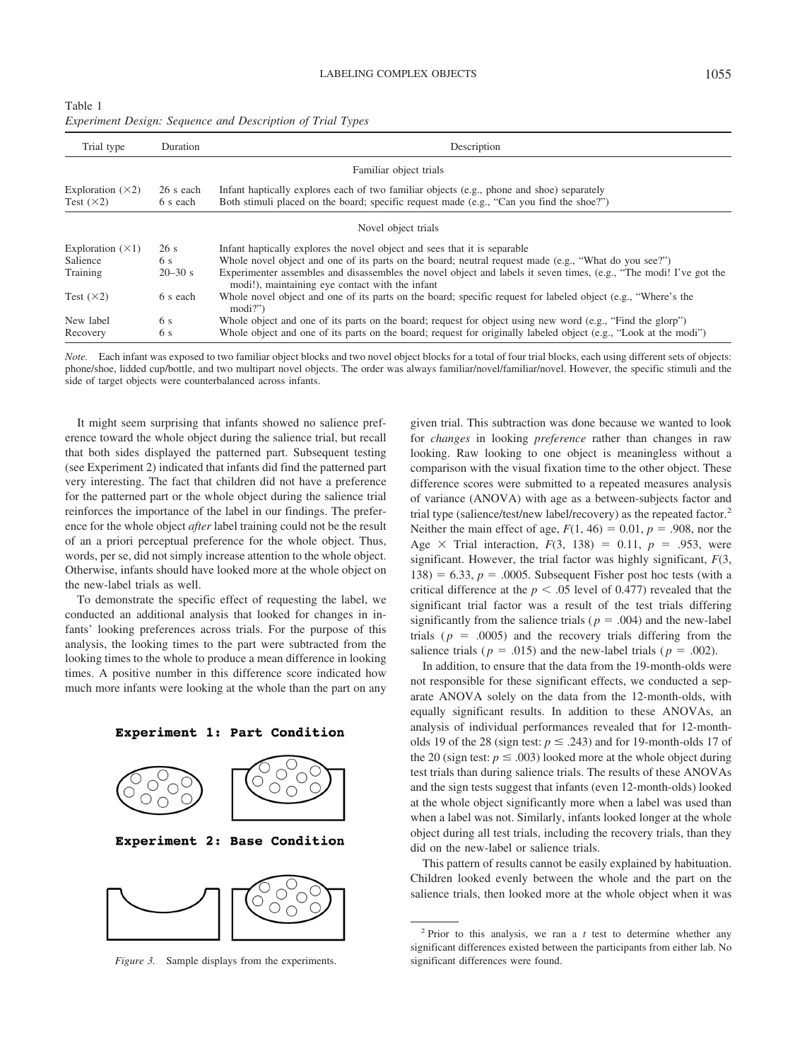| Table 1 |  |                                                            |  |  |
|---------|--|------------------------------------------------------------|--|--|
|         |  | Experiment Design: Sequence and Description of Trial Types |  |  |

| Trial type                                    | Duration              | Description                                                                                                                                                                           |  |  |
|-----------------------------------------------|-----------------------|---------------------------------------------------------------------------------------------------------------------------------------------------------------------------------------|--|--|
|                                               |                       | Familiar object trials                                                                                                                                                                |  |  |
| Exploration $(\times 2)$<br>Test $(\times 2)$ | 26 s each<br>6 s each | Infant haptically explores each of two familiar objects (e.g., phone and shoe) separately<br>Both stimuli placed on the board; specific request made (e.g., "Can you find the shoe?") |  |  |
|                                               |                       | Novel object trials                                                                                                                                                                   |  |  |
| Exploration $(\times 1)$                      | 26s                   | Infant haptically explores the novel object and sees that it is separable                                                                                                             |  |  |
| Salience                                      | 6 s                   | Whole novel object and one of its parts on the board; neutral request made (e.g., "What do you see?")                                                                                 |  |  |
| Training                                      | $20 - 30$ s           | Experimenter assembles and disassembles the novel object and labels it seven times, (e.g., "The modi! I've got the<br>modi!), maintaining eye contact with the infant                 |  |  |
| Test $(\times 2)$                             | 6 s each              | Whole novel object and one of its parts on the board; specific request for labeled object (e.g., "Where's the<br>modi?")                                                              |  |  |
| New label                                     | 6 s                   | Whole object and one of its parts on the board; request for object using new word (e.g., "Find the glorp")                                                                            |  |  |
| Recovery                                      | 6 s                   | Whole object and one of its parts on the board; request for originally labeled object (e.g., "Look at the modi")                                                                      |  |  |

*Note.* Each infant was exposed to two familiar object blocks and two novel object blocks for a total of four trial blocks, each using different sets of objects: phone/shoe, lidded cup/bottle, and two multipart novel objects. The order was always familiar/novel/familiar/novel. However, the specific stimuli and the side of target objects were counterbalanced across infants.

It might seem surprising that infants showed no salience preference toward the whole object during the salience trial, but recall that both sides displayed the patterned part. Subsequent testing (see Experiment 2) indicated that infants did find the patterned part very interesting. The fact that children did not have a preference for the patterned part or the whole object during the salience trial reinforces the importance of the label in our findings. The preference for the whole object *after* label training could not be the result of an a priori perceptual preference for the whole object. Thus, words, per se, did not simply increase attention to the whole object. Otherwise, infants should have looked more at the whole object on the new-label trials as well.

To demonstrate the specific effect of requesting the label, we conducted an additional analysis that looked for changes in infants' looking preferences across trials. For the purpose of this analysis, the looking times to the part were subtracted from the looking times to the whole to produce a mean difference in looking times. A positive number in this difference score indicated how much more infants were looking at the whole than the part on any





*Figure 3.* Sample displays from the experiments. Significant differences were found.

given trial. This subtraction was done because we wanted to look for *changes* in looking *preference* rather than changes in raw looking. Raw looking to one object is meaningless without a comparison with the visual fixation time to the other object. These difference scores were submitted to a repeated measures analysis of variance (ANOVA) with age as a between-subjects factor and trial type (salience/test/new label/recovery) as the repeated factor.<sup>2</sup> Neither the main effect of age,  $F(1, 46) = 0.01$ ,  $p = .908$ , nor the Age  $\times$  Trial interaction,  $F(3, 138) = 0.11$ ,  $p = .953$ , were significant. However, the trial factor was highly significant, *F*(3,  $138$ ) = 6.33,  $p = .0005$ . Subsequent Fisher post hoc tests (with a critical difference at the  $p < .05$  level of 0.477) revealed that the significant trial factor was a result of the test trials differing significantly from the salience trials ( $p = .004$ ) and the new-label trials ( $p = .0005$ ) and the recovery trials differing from the salience trials ( $p = .015$ ) and the new-label trials ( $p = .002$ ).

In addition, to ensure that the data from the 19-month-olds were not responsible for these significant effects, we conducted a separate ANOVA solely on the data from the 12-month-olds, with equally significant results. In addition to these ANOVAs, an analysis of individual performances revealed that for 12-montholds 19 of the 28 (sign test:  $p \le 0.243$ ) and for 19-month-olds 17 of the 20 (sign test:  $p \le 0.003$ ) looked more at the whole object during test trials than during salience trials. The results of these ANOVAs and the sign tests suggest that infants (even 12-month-olds) looked at the whole object significantly more when a label was used than when a label was not. Similarly, infants looked longer at the whole object during all test trials, including the recovery trials, than they did on the new-label or salience trials.

This pattern of results cannot be easily explained by habituation. Children looked evenly between the whole and the part on the salience trials, then looked more at the whole object when it was

 $2$  Prior to this analysis, we ran a *t* test to determine whether any significant differences existed between the participants from either lab. No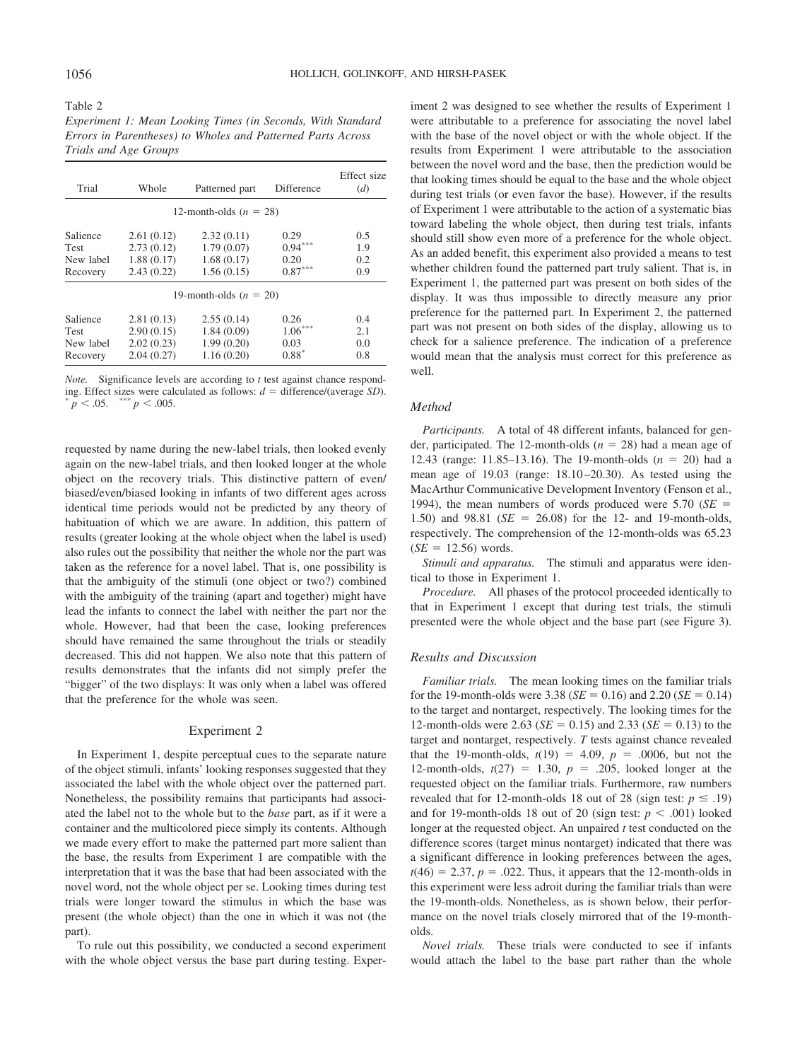Table 2

*Experiment 1: Mean Looking Times (in Seconds, With Standard Errors in Parentheses) to Wholes and Patterned Parts Across Trials and Age Groups*

| Trial                                            | Whole                                                | Patterned part                                       | <b>Difference</b>                      | Effect size<br>(d)       |
|--------------------------------------------------|------------------------------------------------------|------------------------------------------------------|----------------------------------------|--------------------------|
|                                                  |                                                      | 12-month-olds $(n = 28)$                             |                                        |                          |
| Salience<br><b>Test</b><br>New label<br>Recovery | 2.61(0.12)<br>2.73(0.12)<br>1.88(0.17)<br>2.43(0.22) | 2.32(0.11)<br>1.79(0.07)<br>1.68(0.17)<br>1.56(0.15) | 0.29<br>$0.94***$<br>0.20<br>$0.87***$ | 0.5<br>1.9<br>0.2<br>0.9 |
|                                                  |                                                      | 19-month-olds $(n = 20)$                             |                                        |                          |
| Salience<br><b>Test</b><br>New label<br>Recovery | 2.81(0.13)<br>2.90(0.15)<br>2.02(0.23)<br>2.04(0.27) | 2.55(0.14)<br>1.84(0.09)<br>1.99(0.20)<br>1.16(0.20) | 0.26<br>$1.06***$<br>0.03<br>$0.88*$   | 0.4<br>2.1<br>0.0<br>0.8 |

*Note.* Significance levels are according to *t* test against chance responding. Effect sizes were calculated as follows:  $d = \text{difference/(average SD)}$ . \*  $p < .05$ . \*\*\*  $p < .005$ .

requested by name during the new-label trials, then looked evenly again on the new-label trials, and then looked longer at the whole object on the recovery trials. This distinctive pattern of even/ biased/even/biased looking in infants of two different ages across identical time periods would not be predicted by any theory of habituation of which we are aware. In addition, this pattern of results (greater looking at the whole object when the label is used) also rules out the possibility that neither the whole nor the part was taken as the reference for a novel label. That is, one possibility is that the ambiguity of the stimuli (one object or two?) combined with the ambiguity of the training (apart and together) might have lead the infants to connect the label with neither the part nor the whole. However, had that been the case, looking preferences should have remained the same throughout the trials or steadily decreased. This did not happen. We also note that this pattern of results demonstrates that the infants did not simply prefer the "bigger" of the two displays: It was only when a label was offered that the preference for the whole was seen.

#### Experiment 2

In Experiment 1, despite perceptual cues to the separate nature of the object stimuli, infants' looking responses suggested that they associated the label with the whole object over the patterned part. Nonetheless, the possibility remains that participants had associated the label not to the whole but to the *base* part, as if it were a container and the multicolored piece simply its contents. Although we made every effort to make the patterned part more salient than the base, the results from Experiment 1 are compatible with the interpretation that it was the base that had been associated with the novel word, not the whole object per se. Looking times during test trials were longer toward the stimulus in which the base was present (the whole object) than the one in which it was not (the part).

To rule out this possibility, we conducted a second experiment with the whole object versus the base part during testing. Experiment 2 was designed to see whether the results of Experiment 1 were attributable to a preference for associating the novel label with the base of the novel object or with the whole object. If the results from Experiment 1 were attributable to the association between the novel word and the base, then the prediction would be that looking times should be equal to the base and the whole object during test trials (or even favor the base). However, if the results of Experiment 1 were attributable to the action of a systematic bias toward labeling the whole object, then during test trials, infants should still show even more of a preference for the whole object. As an added benefit, this experiment also provided a means to test whether children found the patterned part truly salient. That is, in Experiment 1, the patterned part was present on both sides of the display. It was thus impossible to directly measure any prior preference for the patterned part. In Experiment 2, the patterned part was not present on both sides of the display, allowing us to check for a salience preference. The indication of a preference would mean that the analysis must correct for this preference as well.

## *Method*

*Participants.* A total of 48 different infants, balanced for gender, participated. The 12-month-olds  $(n = 28)$  had a mean age of 12.43 (range:  $11.85-13.16$ ). The 19-month-olds ( $n = 20$ ) had a mean age of 19.03 (range: 18.10–20.30). As tested using the MacArthur Communicative Development Inventory (Fenson et al., 1994), the mean numbers of words produced were 5.70 (*SE* 1.50) and  $98.81$  (*SE* = 26.08) for the 12- and 19-month-olds, respectively. The comprehension of the 12-month-olds was 65.23  $(SE = 12.56)$  words.

*Stimuli and apparatus.* The stimuli and apparatus were identical to those in Experiment 1.

*Procedure.* All phases of the protocol proceeded identically to that in Experiment 1 except that during test trials, the stimuli presented were the whole object and the base part (see Figure 3).

#### *Results and Discussion*

*Familiar trials.* The mean looking times on the familiar trials for the 19-month-olds were 3.38 ( $SE = 0.16$ ) and 2.20 ( $SE = 0.14$ ) to the target and nontarget, respectively. The looking times for the 12-month-olds were 2.63 ( $SE = 0.15$ ) and 2.33 ( $SE = 0.13$ ) to the target and nontarget, respectively. *T* tests against chance revealed that the 19-month-olds,  $t(19) = 4.09$ ,  $p = .0006$ , but not the 12-month-olds,  $t(27) = 1.30$ ,  $p = .205$ , looked longer at the requested object on the familiar trials. Furthermore, raw numbers revealed that for 12-month-olds 18 out of 28 (sign test:  $p \leq .19$ ) and for 19-month-olds 18 out of 20 (sign test:  $p < .001$ ) looked longer at the requested object. An unpaired *t* test conducted on the difference scores (target minus nontarget) indicated that there was a significant difference in looking preferences between the ages,  $t(46) = 2.37$ ,  $p = .022$ . Thus, it appears that the 12-month-olds in this experiment were less adroit during the familiar trials than were the 19-month-olds. Nonetheless, as is shown below, their performance on the novel trials closely mirrored that of the 19-montholds.

*Novel trials.* These trials were conducted to see if infants would attach the label to the base part rather than the whole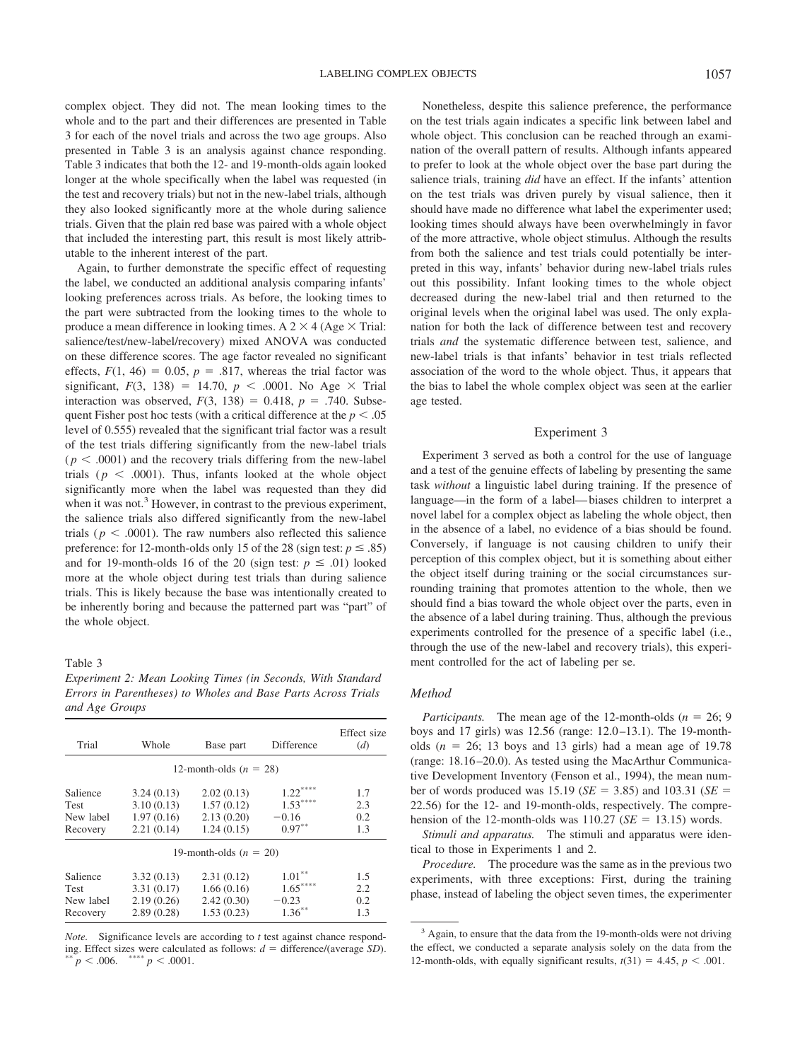complex object. They did not. The mean looking times to the whole and to the part and their differences are presented in Table 3 for each of the novel trials and across the two age groups. Also presented in Table 3 is an analysis against chance responding. Table 3 indicates that both the 12- and 19-month-olds again looked longer at the whole specifically when the label was requested (in the test and recovery trials) but not in the new-label trials, although they also looked significantly more at the whole during salience trials. Given that the plain red base was paired with a whole object that included the interesting part, this result is most likely attributable to the inherent interest of the part.

Again, to further demonstrate the specific effect of requesting the label, we conducted an additional analysis comparing infants' looking preferences across trials. As before, the looking times to the part were subtracted from the looking times to the whole to produce a mean difference in looking times. A  $2 \times 4$  (Age  $\times$  Trial: salience/test/new-label/recovery) mixed ANOVA was conducted on these difference scores. The age factor revealed no significant effects,  $F(1, 46) = 0.05$ ,  $p = .817$ , whereas the trial factor was significant,  $F(3, 138) = 14.70, p < .0001$ . No Age  $\times$  Trial interaction was observed,  $F(3, 138) = 0.418$ ,  $p = .740$ . Subsequent Fisher post hoc tests (with a critical difference at the  $p < .05$ level of 0.555) revealed that the significant trial factor was a result of the test trials differing significantly from the new-label trials  $(p < .0001)$  and the recovery trials differing from the new-label trials ( $p \leq .0001$ ). Thus, infants looked at the whole object significantly more when the label was requested than they did when it was not.<sup>3</sup> However, in contrast to the previous experiment, the salience trials also differed significantly from the new-label trials ( $p < .0001$ ). The raw numbers also reflected this salience preference: for 12-month-olds only 15 of the 28 (sign test:  $p \le .85$ ) and for 19-month-olds 16 of the 20 (sign test:  $p \le .01$ ) looked more at the whole object during test trials than during salience trials. This is likely because the base was intentionally created to be inherently boring and because the patterned part was "part" of the whole object.

## Table 3

*Experiment 2: Mean Looking Times (in Seconds, With Standard Errors in Parentheses) to Wholes and Base Parts Across Trials and Age Groups*

| Trial       | Whole      | Base part                | Difference | Effect size<br>(d) |
|-------------|------------|--------------------------|------------|--------------------|
|             |            | 12-month-olds $(n = 28)$ |            |                    |
| Salience    | 3.24(0.13) | 2.02(0.13)               | 1.22       | 1.7                |
| <b>Test</b> | 3.10(0.13) | 1.57(0.12)               | $1.53***$  | 2.3                |
| New label   | 1.97(0.16) | 2.13(0.20)               | $-0.16$    | 0.2                |
| Recovery    | 2.21(0.14) | 1.24(0.15)               | $0.97***$  | 1.3                |
|             |            | 19-month-olds $(n = 20)$ |            |                    |
| Salience    | 3.32(0.13) | 2.31(0.12)               | $1.01***$  | 1.5                |
| <b>Test</b> | 3.31(0.17) | 1.66(0.16)               | $1.65***$  | 2.2                |
| New label   | 2.19(0.26) | 2.42(0.30)               | $-0.23$    | 0.2                |
| Recovery    | 2.89(0.28) | 1.53(0.23)               | $1.36***$  | 1.3                |

*Note.* Significance levels are according to *t* test against chance responding. Effect sizes were calculated as follows:  $d = \text{difference/(average SD)}$ . \*\*\* *p* < .006. \*\*\*\* *p* < .0001.

Nonetheless, despite this salience preference, the performance on the test trials again indicates a specific link between label and whole object. This conclusion can be reached through an examination of the overall pattern of results. Although infants appeared to prefer to look at the whole object over the base part during the salience trials, training *did* have an effect. If the infants' attention on the test trials was driven purely by visual salience, then it should have made no difference what label the experimenter used; looking times should always have been overwhelmingly in favor of the more attractive, whole object stimulus. Although the results from both the salience and test trials could potentially be interpreted in this way, infants' behavior during new-label trials rules out this possibility. Infant looking times to the whole object decreased during the new-label trial and then returned to the original levels when the original label was used. The only explanation for both the lack of difference between test and recovery trials *and* the systematic difference between test, salience, and new-label trials is that infants' behavior in test trials reflected association of the word to the whole object. Thus, it appears that the bias to label the whole complex object was seen at the earlier age tested.

#### Experiment 3

Experiment 3 served as both a control for the use of language and a test of the genuine effects of labeling by presenting the same task *without* a linguistic label during training. If the presence of language—in the form of a label—biases children to interpret a novel label for a complex object as labeling the whole object, then in the absence of a label, no evidence of a bias should be found. Conversely, if language is not causing children to unify their perception of this complex object, but it is something about either the object itself during training or the social circumstances surrounding training that promotes attention to the whole, then we should find a bias toward the whole object over the parts, even in the absence of a label during training. Thus, although the previous experiments controlled for the presence of a specific label (i.e., through the use of the new-label and recovery trials), this experiment controlled for the act of labeling per se.

# *Method*

*Participants.* The mean age of the 12-month-olds ( $n = 26$ ; 9) boys and 17 girls) was 12.56 (range: 12.0–13.1). The 19-montholds  $(n = 26; 13$  boys and 13 girls) had a mean age of 19.78 (range: 18.16–20.0). As tested using the MacArthur Communicative Development Inventory (Fenson et al., 1994), the mean number of words produced was 15.19 ( $SE = 3.85$ ) and 103.31 ( $SE =$ 22.56) for the 12- and 19-month-olds, respectively. The comprehension of the 12-month-olds was  $110.27$  (*SE* = 13.15) words.

*Stimuli and apparatus.* The stimuli and apparatus were identical to those in Experiments 1 and 2.

*Procedure.* The procedure was the same as in the previous two experiments, with three exceptions: First, during the training phase, instead of labeling the object seven times, the experimenter

<sup>&</sup>lt;sup>3</sup> Again, to ensure that the data from the 19-month-olds were not driving the effect, we conducted a separate analysis solely on the data from the 12-month-olds, with equally significant results,  $t(31) = 4.45$ ,  $p < .001$ .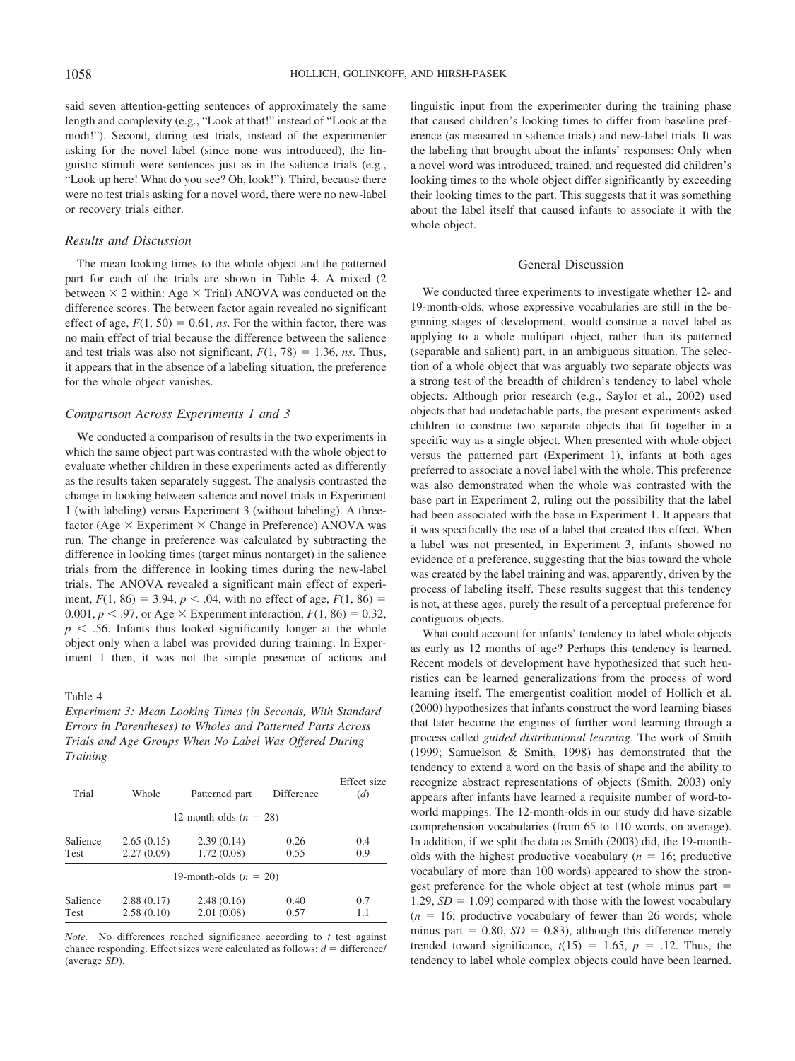said seven attention-getting sentences of approximately the same length and complexity (e.g., "Look at that!" instead of "Look at the modi!"). Second, during test trials, instead of the experimenter asking for the novel label (since none was introduced), the linguistic stimuli were sentences just as in the salience trials (e.g., "Look up here! What do you see? Oh, look!"). Third, because there were no test trials asking for a novel word, there were no new-label or recovery trials either.

#### *Results and Discussion*

The mean looking times to the whole object and the patterned part for each of the trials are shown in Table 4. A mixed (2 between  $\times$  2 within: Age  $\times$  Trial) ANOVA was conducted on the difference scores. The between factor again revealed no significant effect of age,  $F(1, 50) = 0.61$ , *ns*. For the within factor, there was no main effect of trial because the difference between the salience and test trials was also not significant,  $F(1, 78) = 1.36$ , *ns*. Thus, it appears that in the absence of a labeling situation, the preference for the whole object vanishes.

## *Comparison Across Experiments 1 and 3*

We conducted a comparison of results in the two experiments in which the same object part was contrasted with the whole object to evaluate whether children in these experiments acted as differently as the results taken separately suggest. The analysis contrasted the change in looking between salience and novel trials in Experiment 1 (with labeling) versus Experiment 3 (without labeling). A threefactor (Age  $\times$  Experiment  $\times$  Change in Preference) ANOVA was run. The change in preference was calculated by subtracting the difference in looking times (target minus nontarget) in the salience trials from the difference in looking times during the new-label trials. The ANOVA revealed a significant main effect of experiment,  $F(1, 86) = 3.94$ ,  $p < .04$ , with no effect of age,  $F(1, 86) =$ 0.001,  $p < .97$ , or Age  $\times$  Experiment interaction,  $F(1, 86) = 0.32$ ,  $p \leq 0.56$ . Infants thus looked significantly longer at the whole object only when a label was provided during training. In Experiment 1 then, it was not the simple presence of actions and

#### Table 4

*Experiment 3: Mean Looking Times (in Seconds, With Standard Errors in Parentheses) to Wholes and Patterned Parts Across Trials and Age Groups When No Label Was Offered During Training*

| Trial                   | Whole                    | Patterned part           | <b>Difference</b> | Effect size<br>(d) |
|-------------------------|--------------------------|--------------------------|-------------------|--------------------|
|                         |                          | 12-month-olds $(n = 28)$ |                   |                    |
| Salience<br><b>Test</b> | 2.65(0.15)<br>2.27(0.09) | 2.39(0.14)<br>1.72(0.08) | 0.26<br>0.55      | 0.4<br>0.9         |
|                         |                          | 19-month-olds $(n = 20)$ |                   |                    |
| Salience<br><b>Test</b> | 2.88(0.17)<br>2.58(0.10) | 2.48(0.16)<br>2.01(0.08) | 0.40<br>0.57      | 0.7<br>1.1         |

*Note.* No differences reached significance according to *t* test against chance responding. Effect sizes were calculated as follows:  $d =$  difference/ (average *SD*).

linguistic input from the experimenter during the training phase that caused children's looking times to differ from baseline preference (as measured in salience trials) and new-label trials. It was the labeling that brought about the infants' responses: Only when a novel word was introduced, trained, and requested did children's looking times to the whole object differ significantly by exceeding their looking times to the part. This suggests that it was something about the label itself that caused infants to associate it with the whole object.

#### General Discussion

We conducted three experiments to investigate whether 12- and 19-month-olds, whose expressive vocabularies are still in the beginning stages of development, would construe a novel label as applying to a whole multipart object, rather than its patterned (separable and salient) part, in an ambiguous situation. The selection of a whole object that was arguably two separate objects was a strong test of the breadth of children's tendency to label whole objects. Although prior research (e.g., Saylor et al., 2002) used objects that had undetachable parts, the present experiments asked children to construe two separate objects that fit together in a specific way as a single object. When presented with whole object versus the patterned part (Experiment 1), infants at both ages preferred to associate a novel label with the whole. This preference was also demonstrated when the whole was contrasted with the base part in Experiment 2, ruling out the possibility that the label had been associated with the base in Experiment 1. It appears that it was specifically the use of a label that created this effect. When a label was not presented, in Experiment 3, infants showed no evidence of a preference, suggesting that the bias toward the whole was created by the label training and was, apparently, driven by the process of labeling itself. These results suggest that this tendency is not, at these ages, purely the result of a perceptual preference for contiguous objects.

What could account for infants' tendency to label whole objects as early as 12 months of age? Perhaps this tendency is learned. Recent models of development have hypothesized that such heuristics can be learned generalizations from the process of word learning itself. The emergentist coalition model of Hollich et al. (2000) hypothesizes that infants construct the word learning biases that later become the engines of further word learning through a process called *guided distributional learning*. The work of Smith (1999; Samuelson & Smith, 1998) has demonstrated that the tendency to extend a word on the basis of shape and the ability to recognize abstract representations of objects (Smith, 2003) only appears after infants have learned a requisite number of word-toworld mappings. The 12-month-olds in our study did have sizable comprehension vocabularies (from 65 to 110 words, on average). In addition, if we split the data as Smith (2003) did, the 19-montholds with the highest productive vocabulary  $(n = 16)$ ; productive vocabulary of more than 100 words) appeared to show the strongest preference for the whole object at test (whole minus part 1.29,  $SD = 1.09$ ) compared with those with the lowest vocabulary  $(n = 16;$  productive vocabulary of fewer than 26 words; whole minus part  $= 0.80$ ,  $SD = 0.83$ ), although this difference merely trended toward significance,  $t(15) = 1.65$ ,  $p = .12$ . Thus, the tendency to label whole complex objects could have been learned.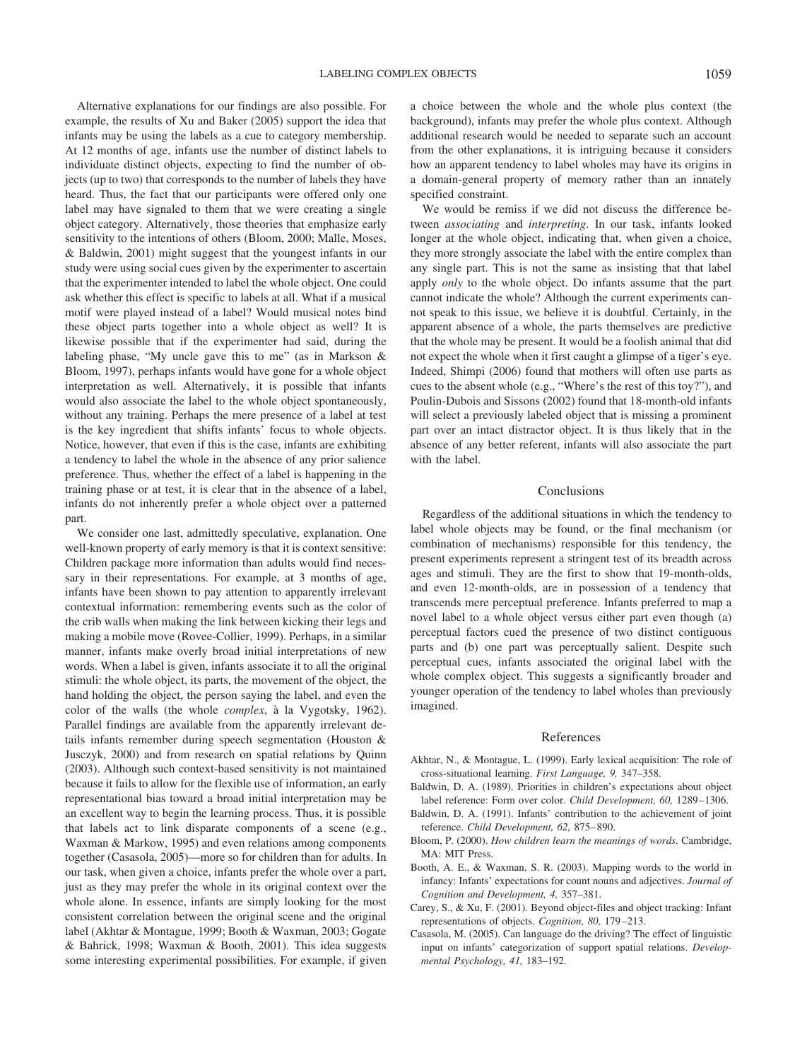Alternative explanations for our findings are also possible. For example, the results of Xu and Baker (2005) support the idea that infants may be using the labels as a cue to category membership. At 12 months of age, infants use the number of distinct labels to individuate distinct objects, expecting to find the number of objects (up to two) that corresponds to the number of labels they have heard. Thus, the fact that our participants were offered only one label may have signaled to them that we were creating a single object category. Alternatively, those theories that emphasize early sensitivity to the intentions of others (Bloom, 2000; Malle, Moses, & Baldwin, 2001) might suggest that the youngest infants in our study were using social cues given by the experimenter to ascertain that the experimenter intended to label the whole object. One could ask whether this effect is specific to labels at all. What if a musical motif were played instead of a label? Would musical notes bind these object parts together into a whole object as well? It is likewise possible that if the experimenter had said, during the labeling phase, "My uncle gave this to me" (as in Markson & Bloom, 1997), perhaps infants would have gone for a whole object interpretation as well. Alternatively, it is possible that infants would also associate the label to the whole object spontaneously, without any training. Perhaps the mere presence of a label at test is the key ingredient that shifts infants' focus to whole objects. Notice, however, that even if this is the case, infants are exhibiting a tendency to label the whole in the absence of any prior salience preference. Thus, whether the effect of a label is happening in the training phase or at test, it is clear that in the absence of a label, infants do not inherently prefer a whole object over a patterned part.

We consider one last, admittedly speculative, explanation. One well-known property of early memory is that it is context sensitive: Children package more information than adults would find necessary in their representations. For example, at 3 months of age, infants have been shown to pay attention to apparently irrelevant contextual information: remembering events such as the color of the crib walls when making the link between kicking their legs and making a mobile move (Rovee-Collier, 1999). Perhaps, in a similar manner, infants make overly broad initial interpretations of new words. When a label is given, infants associate it to all the original stimuli: the whole object, its parts, the movement of the object, the hand holding the object, the person saying the label, and even the color of the walls (the whole *complex*, à la Vygotsky, 1962). Parallel findings are available from the apparently irrelevant details infants remember during speech segmentation (Houston & Jusczyk, 2000) and from research on spatial relations by Quinn (2003). Although such context-based sensitivity is not maintained because it fails to allow for the flexible use of information, an early representational bias toward a broad initial interpretation may be an excellent way to begin the learning process. Thus, it is possible that labels act to link disparate components of a scene (e.g., Waxman & Markow, 1995) and even relations among components together (Casasola, 2005)—more so for children than for adults. In our task, when given a choice, infants prefer the whole over a part, just as they may prefer the whole in its original context over the whole alone. In essence, infants are simply looking for the most consistent correlation between the original scene and the original label (Akhtar & Montague, 1999; Booth & Waxman, 2003; Gogate & Bahrick, 1998; Waxman & Booth, 2001). This idea suggests some interesting experimental possibilities. For example, if given a choice between the whole and the whole plus context (the background), infants may prefer the whole plus context. Although additional research would be needed to separate such an account from the other explanations, it is intriguing because it considers how an apparent tendency to label wholes may have its origins in a domain-general property of memory rather than an innately specified constraint.

We would be remiss if we did not discuss the difference between *associating* and *interpreting*. In our task, infants looked longer at the whole object, indicating that, when given a choice, they more strongly associate the label with the entire complex than any single part. This is not the same as insisting that that label apply *only* to the whole object. Do infants assume that the part cannot indicate the whole? Although the current experiments cannot speak to this issue, we believe it is doubtful. Certainly, in the apparent absence of a whole, the parts themselves are predictive that the whole may be present. It would be a foolish animal that did not expect the whole when it first caught a glimpse of a tiger's eye. Indeed, Shimpi (2006) found that mothers will often use parts as cues to the absent whole (e.g., "Where's the rest of this toy?"), and Poulin-Dubois and Sissons (2002) found that 18-month-old infants will select a previously labeled object that is missing a prominent part over an intact distractor object. It is thus likely that in the absence of any better referent, infants will also associate the part with the label.

#### Conclusions

Regardless of the additional situations in which the tendency to label whole objects may be found, or the final mechanism (or combination of mechanisms) responsible for this tendency, the present experiments represent a stringent test of its breadth across ages and stimuli. They are the first to show that 19-month-olds, and even 12-month-olds, are in possession of a tendency that transcends mere perceptual preference. Infants preferred to map a novel label to a whole object versus either part even though (a) perceptual factors cued the presence of two distinct contiguous parts and (b) one part was perceptually salient. Despite such perceptual cues, infants associated the original label with the whole complex object. This suggests a significantly broader and younger operation of the tendency to label wholes than previously imagined.

#### References

- Akhtar, N., & Montague, L. (1999). Early lexical acquisition: The role of cross-situational learning. *First Language, 9,* 347–358.
- Baldwin, D. A. (1989). Priorities in children's expectations about object label reference: Form over color. *Child Development, 60,* 1289–1306.
- Baldwin, D. A. (1991). Infants' contribution to the achievement of joint reference. *Child Development, 62,* 875–890.
- Bloom, P. (2000). *How children learn the meanings of words.* Cambridge, MA: MIT Press.
- Booth, A. E., & Waxman, S. R. (2003). Mapping words to the world in infancy: Infants' expectations for count nouns and adjectives. *Journal of Cognition and Development, 4,* 357–381.
- Carey, S., & Xu, F. (2001). Beyond object-files and object tracking: Infant representations of objects. *Cognition, 80,* 179–213.
- Casasola, M. (2005). Can language do the driving? The effect of linguistic input on infants' categorization of support spatial relations. *Developmental Psychology, 41,* 183–192.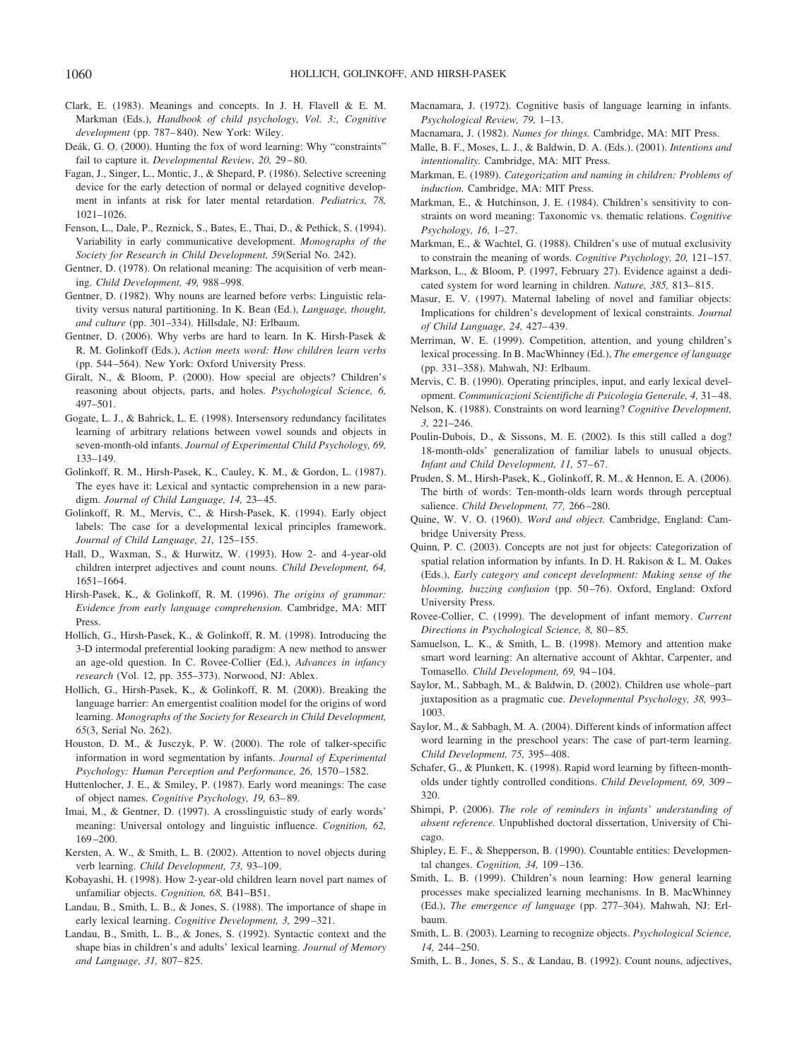- Clark, E. (1983). Meanings and concepts. In J. H. Flavell & E. M. Markman (Eds.), *Handbook of child psychology, Vol. 3:, Cognitive development* (pp. 787–840). New York: Wiley.
- Deák, G. O. (2000). Hunting the fox of word learning: Why "constraints" fail to capture it. *Developmental Review, 20,* 29–80.
- Fagan, J., Singer, L., Montic, J., & Shepard, P. (1986). Selective screening device for the early detection of normal or delayed cognitive development in infants at risk for later mental retardation. *Pediatrics, 78,* 1021–1026.
- Fenson, L., Dale, P., Reznick, S., Bates, E., Thai, D., & Pethick, S. (1994). Variability in early communicative development. *Monographs of the Society for Research in Child Development, 59*(Serial No. 242).
- Gentner, D. (1978). On relational meaning: The acquisition of verb meaning. *Child Development, 49,* 988–998.
- Gentner, D. (1982). Why nouns are learned before verbs: Linguistic relativity versus natural partitioning. In K. Bean (Ed.), *Language, thought, and culture* (pp. 301–334). Hillsdale, NJ: Erlbaum.
- Gentner, D. (2006). Why verbs are hard to learn. In K. Hirsh-Pasek & R. M. Golinkoff (Eds.), *Action meets word: How children learn verbs* (pp. 544–564). New York: Oxford University Press.
- Giralt, N., & Bloom, P. (2000). How special are objects? Children's reasoning about objects, parts, and holes. *Psychological Science, 6,* 497–501.
- Gogate, L. J., & Bahrick, L. E. (1998). Intersensory redundancy facilitates learning of arbitrary relations between vowel sounds and objects in seven-month-old infants. *Journal of Experimental Child Psychology, 69,* 133–149.
- Golinkoff, R. M., Hirsh-Pasek, K., Cauley, K. M., & Gordon, L. (1987). The eyes have it: Lexical and syntactic comprehension in a new paradigm. *Journal of Child Language, 14,* 23–45.
- Golinkoff, R. M., Mervis, C., & Hirsh-Pasek, K. (1994). Early object labels: The case for a developmental lexical principles framework. *Journal of Child Language, 21,* 125–155.
- Hall, D., Waxman, S., & Hurwitz, W. (1993). How 2- and 4-year-old children interpret adjectives and count nouns. *Child Development, 64,* 1651–1664.
- Hirsh-Pasek, K., & Golinkoff, R. M. (1996). *The origins of grammar: Evidence from early language comprehension.* Cambridge, MA: MIT Press.
- Hollich, G., Hirsh-Pasek, K., & Golinkoff, R. M. (1998). Introducing the 3-D intermodal preferential looking paradigm: A new method to answer an age-old question. In C. Rovee-Collier (Ed.), *Advances in infancy research* (Vol. 12, pp. 355–373). Norwood, NJ: Ablex.
- Hollich, G., Hirsh-Pasek, K., & Golinkoff, R. M. (2000). Breaking the language barrier: An emergentist coalition model for the origins of word learning. *Monographs of the Society for Research in Child Development, 65*(3, Serial No. 262).
- Houston, D. M., & Jusczyk, P. W. (2000). The role of talker-specific information in word segmentation by infants. *Journal of Experimental Psychology: Human Perception and Performance, 26,* 1570–1582.
- Huttenlocher, J. E., & Smiley, P. (1987). Early word meanings: The case of object names. *Cognitive Psychology, 19,* 63–89.
- Imai, M., & Gentner, D. (1997). A crosslinguistic study of early words' meaning: Universal ontology and linguistic influence. *Cognition, 62,* 169–200.
- Kersten, A. W., & Smith, L. B. (2002). Attention to novel objects during verb learning. *Child Development, 73,* 93–109.
- Kobayashi, H. (1998). How 2-year-old children learn novel part names of unfamiliar objects. *Cognition, 68,* B41–B51.
- Landau, B., Smith, L. B., & Jones, S. (1988). The importance of shape in early lexical learning. *Cognitive Development, 3,* 299–321.
- Landau, B., Smith, L. B., & Jones, S. (1992). Syntactic context and the shape bias in children's and adults' lexical learning. *Journal of Memory and Language, 31,* 807–825.
- Macnamara, J. (1972). Cognitive basis of language learning in infants. *Psychological Review, 79,* 1–13.
- Macnamara, J. (1982). *Names for things.* Cambridge, MA: MIT Press.
- Malle, B. F., Moses, L. J., & Baldwin, D. A. (Eds.). (2001). *Intentions and intentionality.* Cambridge, MA: MIT Press.
- Markman, E. (1989). *Categorization and naming in children: Problems of induction.* Cambridge, MA: MIT Press.
- Markman, E., & Hutchinson, J. E. (1984). Children's sensitivity to constraints on word meaning: Taxonomic vs. thematic relations. *Cognitive Psychology, 16,* 1–27.
- Markman, E., & Wachtel, G. (1988). Children's use of mutual exclusivity to constrain the meaning of words. *Cognitive Psychology, 20,* 121–157.
- Markson, L., & Bloom, P. (1997, February 27). Evidence against a dedicated system for word learning in children. *Nature, 385,* 813–815.
- Masur, E. V. (1997). Maternal labeling of novel and familiar objects: Implications for children's development of lexical constraints. *Journal of Child Language, 24,* 427–439.
- Merriman, W. E. (1999). Competition, attention, and young children's lexical processing. In B. MacWhinney (Ed.), *The emergence of language* (pp. 331–358). Mahwah, NJ: Erlbaum.
- Mervis, C. B. (1990). Operating principles, input, and early lexical development. *Communicazioni Scientifiche di Psicologia Generale, 4,* 31–48.
- Nelson, K. (1988). Constraints on word learning? *Cognitive Development, 3,* 221–246.
- Poulin-Dubois, D., & Sissons, M. E. (2002). Is this still called a dog? 18-month-olds' generalization of familiar labels to unusual objects. *Infant and Child Development, 11,* 57–67.
- Pruden, S. M., Hirsh-Pasek, K., Golinkoff, R. M., & Hennon, E. A. (2006). The birth of words: Ten-month-olds learn words through perceptual salience. *Child Development, 77,* 266–280.
- Quine, W. V. O. (1960). *Word and object.* Cambridge, England: Cambridge University Press.
- Quinn, P. C. (2003). Concepts are not just for objects: Categorization of spatial relation information by infants. In D. H. Rakison & L. M. Oakes (Eds.), *Early category and concept development: Making sense of the blooming, buzzing confusion* (pp. 50–76). Oxford, England: Oxford University Press.
- Rovee-Collier, C. (1999). The development of infant memory. *Current Directions in Psychological Science, 8,* 80–85.
- Samuelson, L. K., & Smith, L. B. (1998). Memory and attention make smart word learning: An alternative account of Akhtar, Carpenter, and Tomasello. *Child Development, 69,* 94–104.
- Saylor, M., Sabbagh, M., & Baldwin, D. (2002). Children use whole–part juxtaposition as a pragmatic cue. *Developmental Psychology, 38,* 993– 1003.
- Saylor, M., & Sabbagh, M. A. (2004). Different kinds of information affect word learning in the preschool years: The case of part-term learning. *Child Development, 75,* 395–408.
- Schafer, G., & Plunkett, K. (1998). Rapid word learning by fifteen-montholds under tightly controlled conditions. *Child Development, 69,* 309– 320.
- Shimpi, P. (2006). *The role of reminders in infants' understanding of absent reference.* Unpublished doctoral dissertation, University of Chicago.
- Shipley, E. F., & Shepperson, B. (1990). Countable entities: Developmental changes. *Cognition, 34,* 109–136.
- Smith, L. B. (1999). Children's noun learning: How general learning processes make specialized learning mechanisms. In B. MacWhinney (Ed.), *The emergence of language* (pp. 277–304). Mahwah, NJ: Erlbaum.
- Smith, L. B. (2003). Learning to recognize objects. *Psychological Science, 14,* 244–250.
- Smith, L. B., Jones, S. S., & Landau, B. (1992). Count nouns, adjectives,